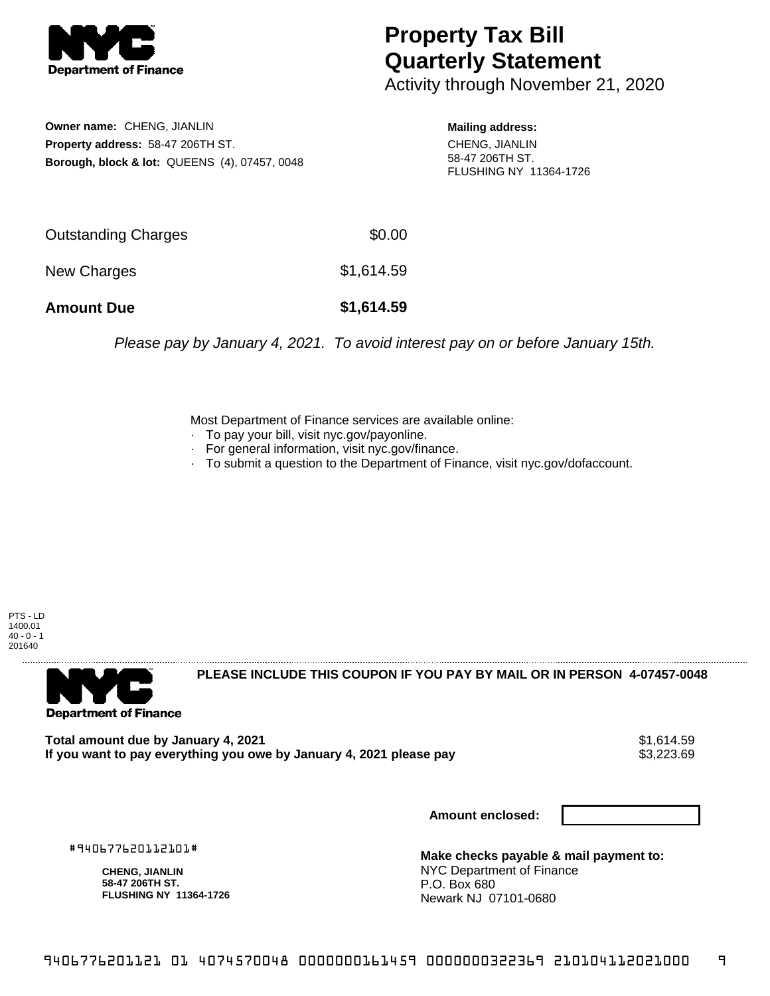

## **Property Tax Bill Quarterly Statement**

Activity through November 21, 2020

**Owner name:** CHENG, JIANLIN **Property address:** 58-47 206TH ST. **Borough, block & lot:** QUEENS (4), 07457, 0048

**Mailing address:** CHENG, JIANLIN 58-47 206TH ST. FLUSHING NY 11364-1726

| <b>Amount Due</b>   | \$1,614.59 |
|---------------------|------------|
| New Charges         | \$1,614.59 |
| Outstanding Charges | \$0.00     |

Please pay by January 4, 2021. To avoid interest pay on or before January 15th.

Most Department of Finance services are available online:

- · To pay your bill, visit nyc.gov/payonline.
- For general information, visit nyc.gov/finance.
- · To submit a question to the Department of Finance, visit nyc.gov/dofaccount.

PTS - LD 1400.01  $40 - 0 - 1$ 201640



**PLEASE INCLUDE THIS COUPON IF YOU PAY BY MAIL OR IN PERSON 4-07457-0048** 

**Total amount due by January 4, 2021**<br>If you want to pay everything you owe by January 4, 2021 please pay **strategy of the State of the State S**3,223.69 If you want to pay everything you owe by January 4, 2021 please pay

**Amount enclosed:**

#940677620112101#

**CHENG, JIANLIN 58-47 206TH ST. FLUSHING NY 11364-1726**

**Make checks payable & mail payment to:** NYC Department of Finance P.O. Box 680 Newark NJ 07101-0680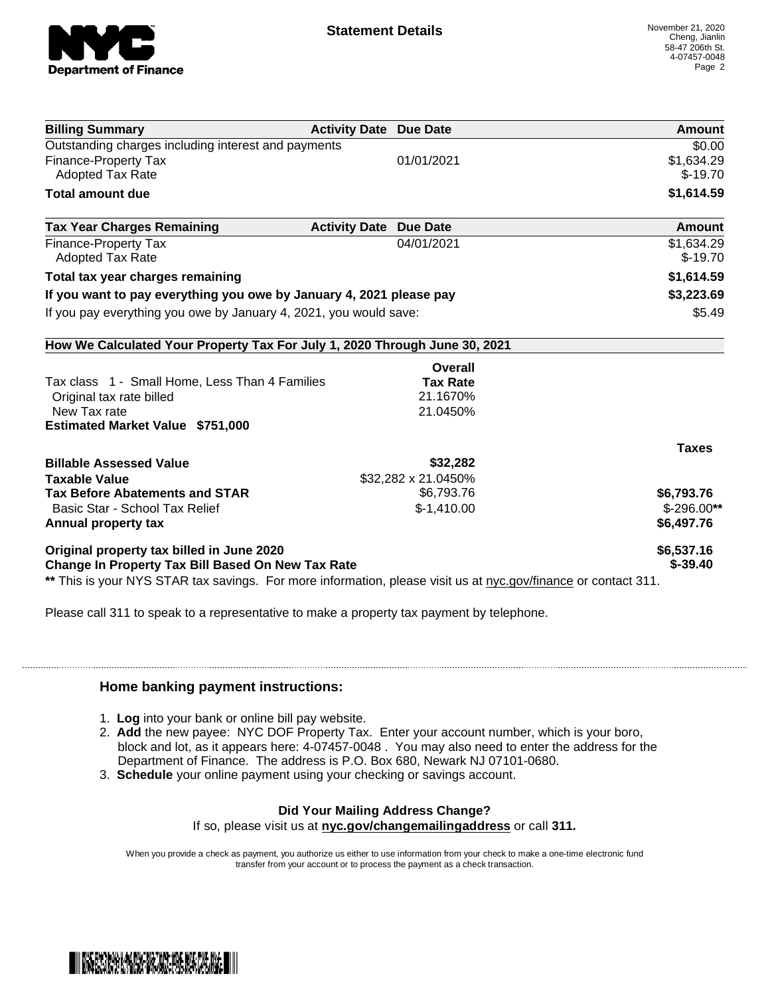

| <b>Activity Date Due Date</b>                                              | Amount                                                                                                         |
|----------------------------------------------------------------------------|----------------------------------------------------------------------------------------------------------------|
|                                                                            | \$0.00                                                                                                         |
| 01/01/2021                                                                 | \$1,634.29                                                                                                     |
|                                                                            | $$-19.70$                                                                                                      |
|                                                                            | \$1,614.59                                                                                                     |
| <b>Activity Date Due Date</b>                                              | Amount                                                                                                         |
| 04/01/2021                                                                 | \$1,634.29                                                                                                     |
|                                                                            | $$-19.70$                                                                                                      |
|                                                                            | \$1,614.59                                                                                                     |
| If you want to pay everything you owe by January 4, 2021 please pay        | \$3,223.69                                                                                                     |
| If you pay everything you owe by January 4, 2021, you would save:          | \$5.49                                                                                                         |
| How We Calculated Your Property Tax For July 1, 2020 Through June 30, 2021 |                                                                                                                |
| Overall                                                                    |                                                                                                                |
| <b>Tax Rate</b>                                                            |                                                                                                                |
| 21.1670%                                                                   |                                                                                                                |
| 21.0450%                                                                   |                                                                                                                |
|                                                                            |                                                                                                                |
|                                                                            | <b>Taxes</b>                                                                                                   |
| \$32,282                                                                   |                                                                                                                |
| \$32,282 x 21.0450%                                                        |                                                                                                                |
| \$6,793.76                                                                 | \$6,793.76                                                                                                     |
| $$-1,410.00$                                                               | $$-296.00**$                                                                                                   |
|                                                                            | \$6,497.76                                                                                                     |
|                                                                            | \$6,537.16                                                                                                     |
| <b>Change In Property Tax Bill Based On New Tax Rate</b>                   | $$ -39.40$                                                                                                     |
|                                                                            | ** This is your NYS STAR tax savings. For more information, please visit us at nyc.gov/finance or contact 311. |

Please call 311 to speak to a representative to make a property tax payment by telephone.

## **Home banking payment instructions:**

- 1. **Log** into your bank or online bill pay website.
- 2. **Add** the new payee: NYC DOF Property Tax. Enter your account number, which is your boro, block and lot, as it appears here: 4-07457-0048 . You may also need to enter the address for the Department of Finance. The address is P.O. Box 680, Newark NJ 07101-0680.
- 3. **Schedule** your online payment using your checking or savings account.

## **Did Your Mailing Address Change?**

If so, please visit us at **nyc.gov/changemailingaddress** or call **311.**

When you provide a check as payment, you authorize us either to use information from your check to make a one-time electronic fund transfer from your account or to process the payment as a check transaction.